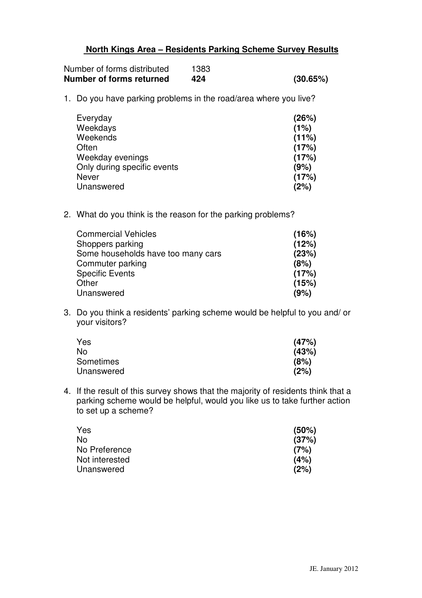## **North Kings Area – Residents Parking Scheme Survey Results**

| Number of forms returned    | 424  | (30.65%) |
|-----------------------------|------|----------|
| Number of forms distributed | 1383 |          |

1. Do you have parking problems in the road/area where you live?

| Everyday                    | (26%) |
|-----------------------------|-------|
| Weekdays                    | (1%)  |
| Weekends                    | (11%) |
| Often                       | (17%) |
| Weekday evenings            | (17%) |
| Only during specific events | (9%)  |
| Never                       | (17%) |
| Unanswered                  | (2%)  |

2. What do you think is the reason for the parking problems?

| <b>Commercial Vehicles</b>         | (16%) |
|------------------------------------|-------|
| Shoppers parking                   | (12%) |
| Some households have too many cars | (23%) |
| Commuter parking                   | (8%)  |
| <b>Specific Events</b>             | (17%) |
| Other                              | (15%) |
| Unanswered                         | (9%)  |
|                                    |       |

3. Do you think a residents' parking scheme would be helpful to you and/ or your visitors?

| Yes              | (47%) |
|------------------|-------|
| No               | (43%) |
| <b>Sometimes</b> | (8%)  |
| Unanswered       | (2%)  |

4. If the result of this survey shows that the majority of residents think that a parking scheme would be helpful, would you like us to take further action to set up a scheme?

| Yes            | (50%) |
|----------------|-------|
| No             | (37%) |
| No Preference  | (7%)  |
| Not interested | (4%)  |
| Unanswered     | (2%)  |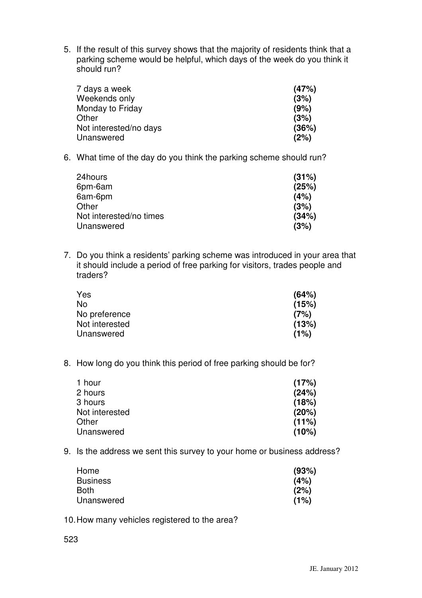5. If the result of this survey shows that the majority of residents think that a parking scheme would be helpful, which days of the week do you think it should run?

| 7 days a week          | (47%) |
|------------------------|-------|
| Weekends only          | (3%)  |
| Monday to Friday       | (9%)  |
| Other                  | (3%)  |
| Not interested/no days | (36%) |
| Unanswered             | (2%)  |

6. What time of the day do you think the parking scheme should run?

| (31%) |
|-------|
| (25%) |
| (4%)  |
| (3%)  |
| (34%) |
| (3%)  |
|       |

7. Do you think a residents' parking scheme was introduced in your area that it should include a period of free parking for visitors, trades people and traders?

| Yes            | (64%) |
|----------------|-------|
| No.            | (15%) |
| No preference  | (7%)  |
| Not interested | (13%) |
| Unanswered     | (1%)  |

8. How long do you think this period of free parking should be for?

| 1 hour         | (17%) |
|----------------|-------|
| 2 hours        | (24%) |
| 3 hours        | (18%) |
| Not interested | (20%) |
| Other          | (11%) |
| Unanswered     | (10%) |

9. Is the address we sent this survey to your home or business address?

| Home            | (93%) |
|-----------------|-------|
| <b>Business</b> | (4%)  |
| Both            | (2%)  |
| Unanswered      | (1%)  |

- 10.How many vehicles registered to the area?
- 523